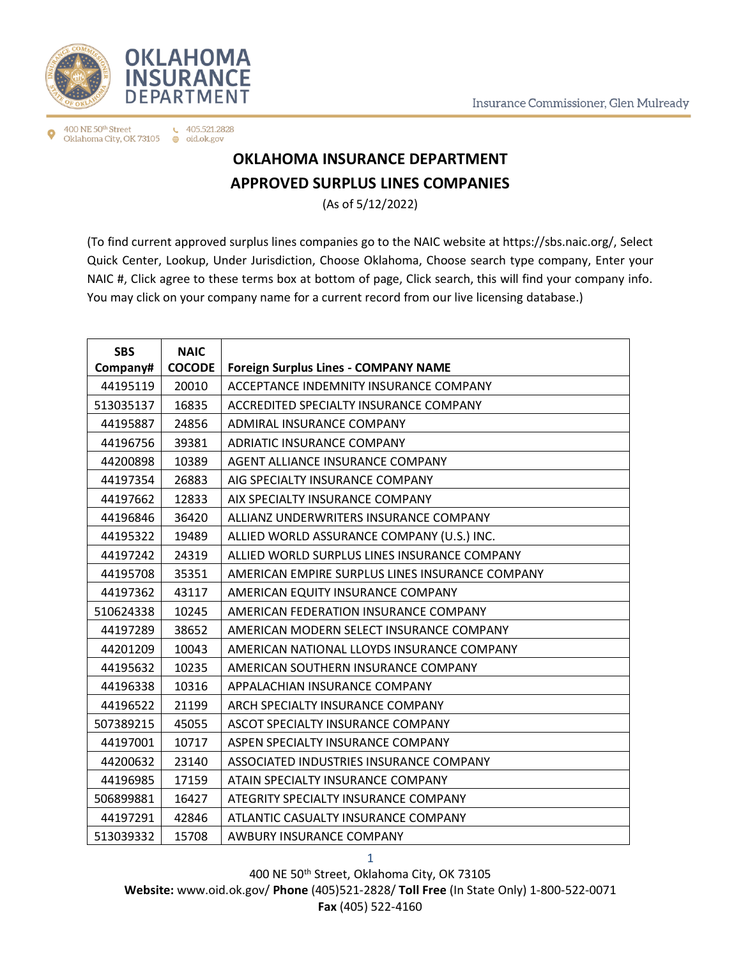



400 NE 50th Street  $\leftarrow$  405.521.2828 Oklahoma City, OK 73105 @ oid.ok.gov

## **OKLAHOMA INSURANCE DEPARTMENT APPROVED SURPLUS LINES COMPANIES**

(As of 5/12/2022)

(To find current approved surplus lines companies go to the NAIC website at https://sbs.naic.org/, Select Quick Center, Lookup, Under Jurisdiction, Choose Oklahoma, Choose search type company, Enter your NAIC #, Click agree to these terms box at bottom of page, Click search, this will find your company info. You may click on your company name for a current record from our live licensing database.)

| <b>SBS</b> | <b>NAIC</b>   |                                                 |
|------------|---------------|-------------------------------------------------|
| Company#   | <b>COCODE</b> | <b>Foreign Surplus Lines - COMPANY NAME</b>     |
| 44195119   | 20010         | ACCEPTANCE INDEMNITY INSURANCE COMPANY          |
| 513035137  | 16835         | ACCREDITED SPECIALTY INSURANCE COMPANY          |
| 44195887   | 24856         | ADMIRAL INSURANCE COMPANY                       |
| 44196756   | 39381         | ADRIATIC INSURANCE COMPANY                      |
| 44200898   | 10389         | AGENT ALLIANCE INSURANCE COMPANY                |
| 44197354   | 26883         | AIG SPECIALTY INSURANCE COMPANY                 |
| 44197662   | 12833         | AIX SPECIALTY INSURANCE COMPANY                 |
| 44196846   | 36420         | ALLIANZ UNDERWRITERS INSURANCE COMPANY          |
| 44195322   | 19489         | ALLIED WORLD ASSURANCE COMPANY (U.S.) INC.      |
| 44197242   | 24319         | ALLIED WORLD SURPLUS LINES INSURANCE COMPANY    |
| 44195708   | 35351         | AMERICAN EMPIRE SURPLUS LINES INSURANCE COMPANY |
| 44197362   | 43117         | AMERICAN EQUITY INSURANCE COMPANY               |
| 510624338  | 10245         | AMERICAN FEDERATION INSURANCE COMPANY           |
| 44197289   | 38652         | AMERICAN MODERN SELECT INSURANCE COMPANY        |
| 44201209   | 10043         | AMERICAN NATIONAL LLOYDS INSURANCE COMPANY      |
| 44195632   | 10235         | AMERICAN SOUTHERN INSURANCE COMPANY             |
| 44196338   | 10316         | APPALACHIAN INSURANCE COMPANY                   |
| 44196522   | 21199         | ARCH SPECIALTY INSURANCE COMPANY                |
| 507389215  | 45055         | ASCOT SPECIALTY INSURANCE COMPANY               |
| 44197001   | 10717         | ASPEN SPECIALTY INSURANCE COMPANY               |
| 44200632   | 23140         | ASSOCIATED INDUSTRIES INSURANCE COMPANY         |
| 44196985   | 17159         | ATAIN SPECIALTY INSURANCE COMPANY               |
| 506899881  | 16427         | ATEGRITY SPECIALTY INSURANCE COMPANY            |
| 44197291   | 42846         | ATLANTIC CASUALTY INSURANCE COMPANY             |
| 513039332  | 15708         | AWBURY INSURANCE COMPANY                        |

400 NE 50th Street, Oklahoma City, OK 73105 **Website:** www.oid.ok.gov/ **Phone** (405)521-2828/ **Toll Free** (In State Only) 1-800-522-0071 **Fax** (405) 522-4160

1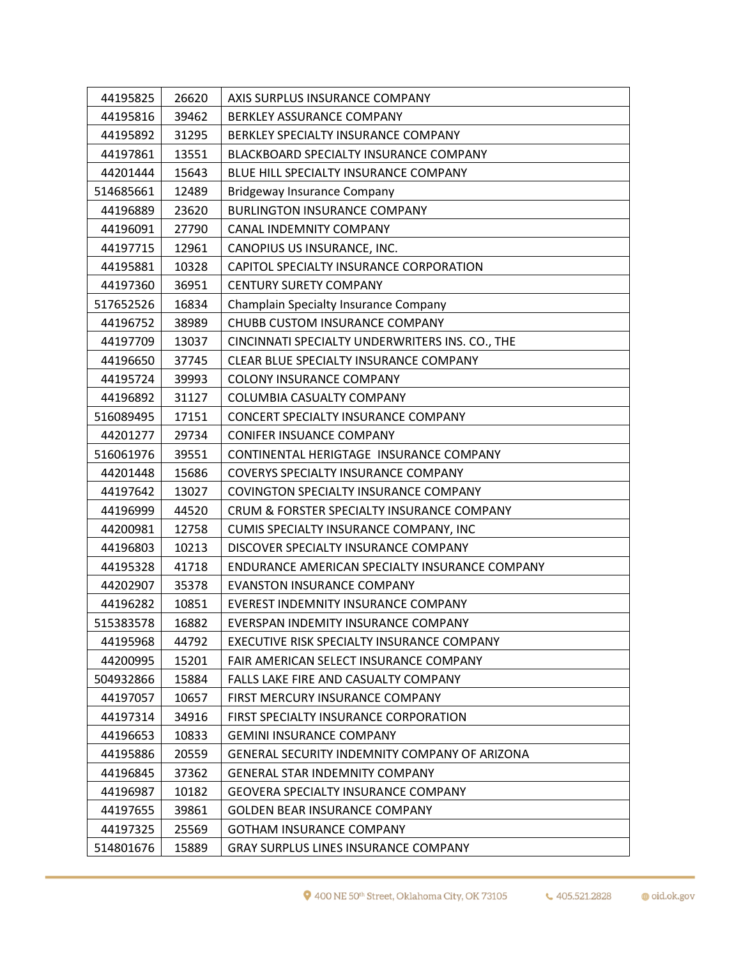| 44195825  | 26620 | AXIS SURPLUS INSURANCE COMPANY                       |
|-----------|-------|------------------------------------------------------|
| 44195816  | 39462 | <b>BERKLEY ASSURANCE COMPANY</b>                     |
| 44195892  | 31295 | BERKLEY SPECIALTY INSURANCE COMPANY                  |
| 44197861  | 13551 | BLACKBOARD SPECIALTY INSURANCE COMPANY               |
| 44201444  | 15643 | BLUE HILL SPECIALTY INSURANCE COMPANY                |
| 514685661 | 12489 | <b>Bridgeway Insurance Company</b>                   |
| 44196889  | 23620 | <b>BURLINGTON INSURANCE COMPANY</b>                  |
| 44196091  | 27790 | <b>CANAL INDEMNITY COMPANY</b>                       |
| 44197715  | 12961 | CANOPIUS US INSURANCE, INC.                          |
| 44195881  | 10328 | CAPITOL SPECIALTY INSURANCE CORPORATION              |
| 44197360  | 36951 | <b>CENTURY SURETY COMPANY</b>                        |
| 517652526 | 16834 | <b>Champlain Specialty Insurance Company</b>         |
| 44196752  | 38989 | CHUBB CUSTOM INSURANCE COMPANY                       |
| 44197709  | 13037 | CINCINNATI SPECIALTY UNDERWRITERS INS. CO., THE      |
| 44196650  | 37745 | CLEAR BLUE SPECIALTY INSURANCE COMPANY               |
| 44195724  | 39993 | <b>COLONY INSURANCE COMPANY</b>                      |
| 44196892  | 31127 | COLUMBIA CASUALTY COMPANY                            |
| 516089495 | 17151 | CONCERT SPECIALTY INSURANCE COMPANY                  |
| 44201277  | 29734 | CONIFER INSUANCE COMPANY                             |
| 516061976 | 39551 | CONTINENTAL HERIGTAGE INSURANCE COMPANY              |
| 44201448  | 15686 | COVERYS SPECIALTY INSURANCE COMPANY                  |
| 44197642  | 13027 | COVINGTON SPECIALTY INSURANCE COMPANY                |
| 44196999  | 44520 | CRUM & FORSTER SPECIALTY INSURANCE COMPANY           |
| 44200981  | 12758 | CUMIS SPECIALTY INSURANCE COMPANY, INC               |
| 44196803  | 10213 | DISCOVER SPECIALTY INSURANCE COMPANY                 |
| 44195328  | 41718 | ENDURANCE AMERICAN SPECIALTY INSURANCE COMPANY       |
| 44202907  | 35378 | <b>EVANSTON INSURANCE COMPANY</b>                    |
| 44196282  | 10851 | EVEREST INDEMNITY INSURANCE COMPANY                  |
| 515383578 | 16882 | EVERSPAN INDEMITY INSURANCE COMPANY                  |
| 44195968  | 44792 | EXECUTIVE RISK SPECIALTY INSURANCE COMPANY           |
| 44200995  | 15201 | FAIR AMERICAN SELECT INSURANCE COMPANY               |
| 504932866 | 15884 | FALLS LAKE FIRE AND CASUALTY COMPANY                 |
| 44197057  | 10657 | FIRST MERCURY INSURANCE COMPANY                      |
| 44197314  | 34916 | FIRST SPECIALTY INSURANCE CORPORATION                |
| 44196653  | 10833 | <b>GEMINI INSURANCE COMPANY</b>                      |
| 44195886  | 20559 | <b>GENERAL SECURITY INDEMNITY COMPANY OF ARIZONA</b> |
| 44196845  | 37362 | <b>GENERAL STAR INDEMNITY COMPANY</b>                |
| 44196987  | 10182 | <b>GEOVERA SPECIALTY INSURANCE COMPANY</b>           |
| 44197655  | 39861 | <b>GOLDEN BEAR INSURANCE COMPANY</b>                 |
| 44197325  | 25569 | <b>GOTHAM INSURANCE COMPANY</b>                      |
| 514801676 | 15889 | <b>GRAY SURPLUS LINES INSURANCE COMPANY</b>          |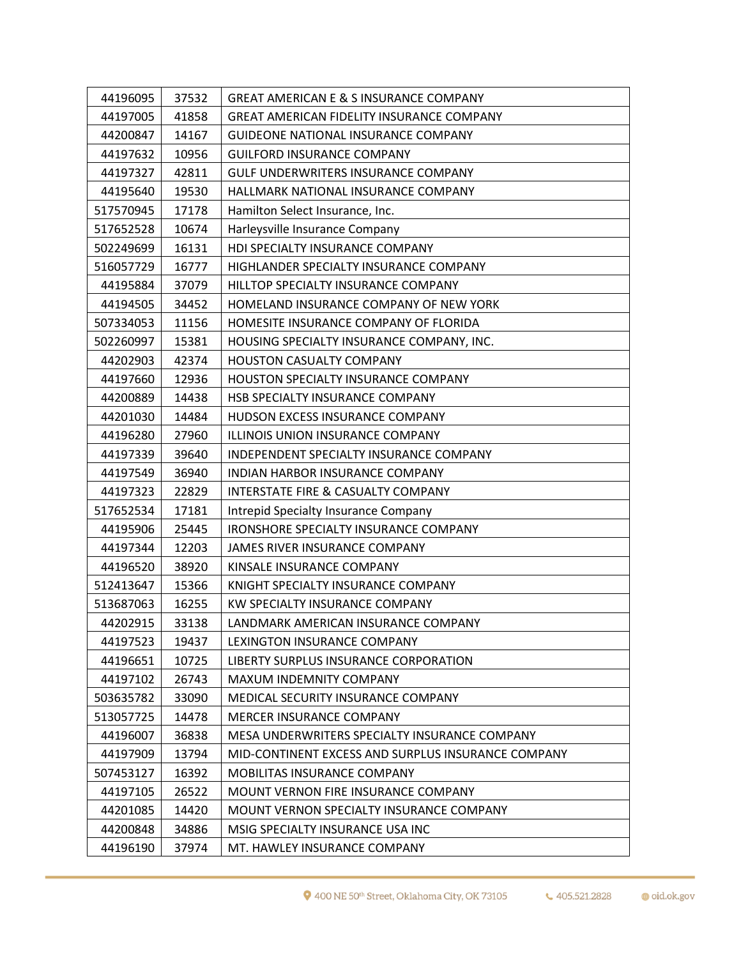| 44196095  | 37532 | <b>GREAT AMERICAN E &amp; S INSURANCE COMPANY</b>  |
|-----------|-------|----------------------------------------------------|
| 44197005  | 41858 | <b>GREAT AMERICAN FIDELITY INSURANCE COMPANY</b>   |
| 44200847  | 14167 | <b>GUIDEONE NATIONAL INSURANCE COMPANY</b>         |
| 44197632  | 10956 | <b>GUILFORD INSURANCE COMPANY</b>                  |
| 44197327  | 42811 | <b>GULF UNDERWRITERS INSURANCE COMPANY</b>         |
| 44195640  | 19530 | HALLMARK NATIONAL INSURANCE COMPANY                |
| 517570945 | 17178 | Hamilton Select Insurance, Inc.                    |
| 517652528 | 10674 | Harleysville Insurance Company                     |
| 502249699 | 16131 | HDI SPECIALTY INSURANCE COMPANY                    |
| 516057729 | 16777 | HIGHLANDER SPECIALTY INSURANCE COMPANY             |
| 44195884  | 37079 | HILLTOP SPECIALTY INSURANCE COMPANY                |
| 44194505  | 34452 | HOMELAND INSURANCE COMPANY OF NEW YORK             |
| 507334053 | 11156 | HOMESITE INSURANCE COMPANY OF FLORIDA              |
| 502260997 | 15381 | HOUSING SPECIALTY INSURANCE COMPANY, INC.          |
| 44202903  | 42374 | HOUSTON CASUALTY COMPANY                           |
| 44197660  | 12936 | HOUSTON SPECIALTY INSURANCE COMPANY                |
| 44200889  | 14438 | HSB SPECIALTY INSURANCE COMPANY                    |
| 44201030  | 14484 | HUDSON EXCESS INSURANCE COMPANY                    |
| 44196280  | 27960 | ILLINOIS UNION INSURANCE COMPANY                   |
| 44197339  | 39640 | INDEPENDENT SPECIALTY INSURANCE COMPANY            |
| 44197549  | 36940 | INDIAN HARBOR INSURANCE COMPANY                    |
| 44197323  | 22829 | INTERSTATE FIRE & CASUALTY COMPANY                 |
| 517652534 | 17181 | Intrepid Specialty Insurance Company               |
| 44195906  | 25445 | IRONSHORE SPECIALTY INSURANCE COMPANY              |
| 44197344  | 12203 | JAMES RIVER INSURANCE COMPANY                      |
| 44196520  | 38920 | KINSALE INSURANCE COMPANY                          |
| 512413647 | 15366 | KNIGHT SPECIALTY INSURANCE COMPANY                 |
| 513687063 | 16255 | KW SPECIALTY INSURANCE COMPANY                     |
| 44202915  | 33138 | LANDMARK AMERICAN INSURANCE COMPANY                |
| 44197523  | 19437 | LEXINGTON INSURANCE COMPANY                        |
| 44196651  | 10725 | LIBERTY SURPLUS INSURANCE CORPORATION              |
| 44197102  | 26743 | MAXUM INDEMNITY COMPANY                            |
| 503635782 | 33090 | MEDICAL SECURITY INSURANCE COMPANY                 |
| 513057725 | 14478 | <b>MERCER INSURANCE COMPANY</b>                    |
| 44196007  | 36838 | MESA UNDERWRITERS SPECIALTY INSURANCE COMPANY      |
| 44197909  | 13794 | MID-CONTINENT EXCESS AND SURPLUS INSURANCE COMPANY |
| 507453127 | 16392 | MOBILITAS INSURANCE COMPANY                        |
| 44197105  | 26522 | MOUNT VERNON FIRE INSURANCE COMPANY                |
| 44201085  | 14420 | MOUNT VERNON SPECIALTY INSURANCE COMPANY           |
| 44200848  | 34886 | MSIG SPECIALTY INSURANCE USA INC                   |
| 44196190  | 37974 | MT. HAWLEY INSURANCE COMPANY                       |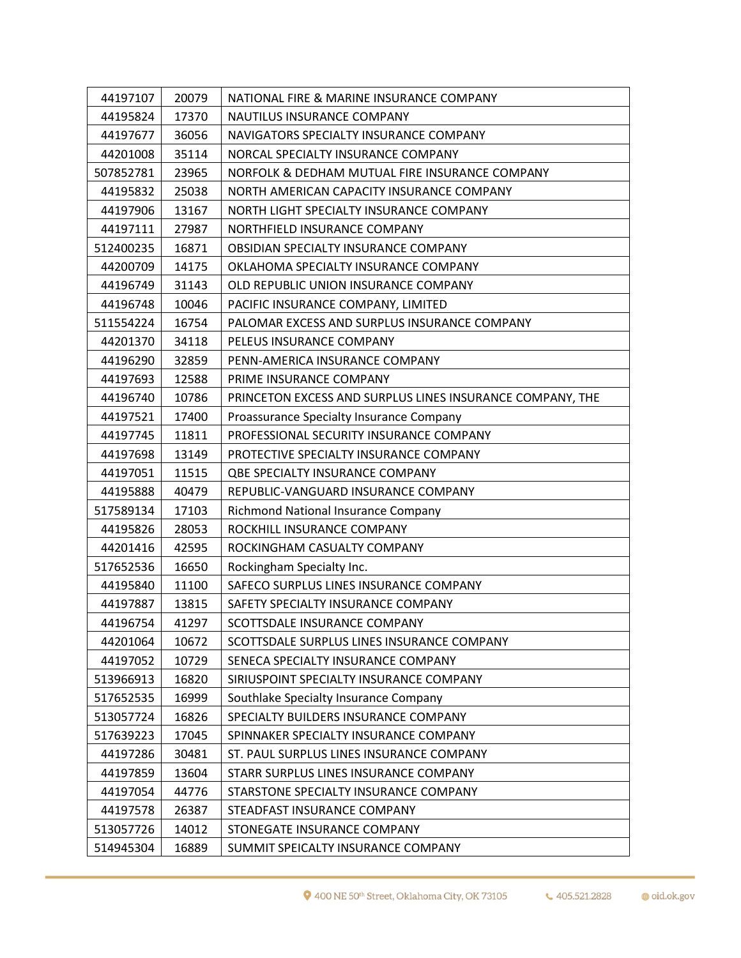| 44197107  | 20079 | NATIONAL FIRE & MARINE INSURANCE COMPANY                  |
|-----------|-------|-----------------------------------------------------------|
| 44195824  | 17370 | NAUTILUS INSURANCE COMPANY                                |
| 44197677  | 36056 | NAVIGATORS SPECIALTY INSURANCE COMPANY                    |
| 44201008  | 35114 | NORCAL SPECIALTY INSURANCE COMPANY                        |
| 507852781 | 23965 | NORFOLK & DEDHAM MUTUAL FIRE INSURANCE COMPANY            |
| 44195832  | 25038 | NORTH AMERICAN CAPACITY INSURANCE COMPANY                 |
| 44197906  | 13167 | NORTH LIGHT SPECIALTY INSURANCE COMPANY                   |
| 44197111  | 27987 | NORTHFIELD INSURANCE COMPANY                              |
| 512400235 | 16871 | OBSIDIAN SPECIALTY INSURANCE COMPANY                      |
| 44200709  | 14175 | OKLAHOMA SPECIALTY INSURANCE COMPANY                      |
| 44196749  | 31143 | OLD REPUBLIC UNION INSURANCE COMPANY                      |
| 44196748  | 10046 | PACIFIC INSURANCE COMPANY, LIMITED                        |
| 511554224 | 16754 | PALOMAR EXCESS AND SURPLUS INSURANCE COMPANY              |
| 44201370  | 34118 | PELEUS INSURANCE COMPANY                                  |
| 44196290  | 32859 | PENN-AMERICA INSURANCE COMPANY                            |
| 44197693  | 12588 | PRIME INSURANCE COMPANY                                   |
| 44196740  | 10786 | PRINCETON EXCESS AND SURPLUS LINES INSURANCE COMPANY, THE |
| 44197521  | 17400 | Proassurance Specialty Insurance Company                  |
| 44197745  | 11811 | PROFESSIONAL SECURITY INSURANCE COMPANY                   |
| 44197698  | 13149 | PROTECTIVE SPECIALTY INSURANCE COMPANY                    |
| 44197051  | 11515 | QBE SPECIALTY INSURANCE COMPANY                           |
| 44195888  | 40479 | REPUBLIC-VANGUARD INSURANCE COMPANY                       |
| 517589134 | 17103 | Richmond National Insurance Company                       |
| 44195826  | 28053 | ROCKHILL INSURANCE COMPANY                                |
| 44201416  | 42595 | ROCKINGHAM CASUALTY COMPANY                               |
| 517652536 | 16650 | Rockingham Specialty Inc.                                 |
| 44195840  | 11100 | SAFECO SURPLUS LINES INSURANCE COMPANY                    |
| 44197887  | 13815 | SAFETY SPECIALTY INSURANCE COMPANY                        |
| 44196754  | 41297 | SCOTTSDALE INSURANCE COMPANY                              |
| 44201064  | 10672 | SCOTTSDALE SURPLUS LINES INSURANCE COMPANY                |
| 44197052  | 10729 | SENECA SPECIALTY INSURANCE COMPANY                        |
| 513966913 | 16820 | SIRIUSPOINT SPECIALTY INSURANCE COMPANY                   |
| 517652535 | 16999 | Southlake Specialty Insurance Company                     |
| 513057724 | 16826 | SPECIALTY BUILDERS INSURANCE COMPANY                      |
| 517639223 | 17045 | SPINNAKER SPECIALTY INSURANCE COMPANY                     |
| 44197286  | 30481 | ST. PAUL SURPLUS LINES INSURANCE COMPANY                  |
| 44197859  | 13604 | STARR SURPLUS LINES INSURANCE COMPANY                     |
| 44197054  | 44776 | STARSTONE SPECIALTY INSURANCE COMPANY                     |
| 44197578  | 26387 | STEADFAST INSURANCE COMPANY                               |
| 513057726 | 14012 | STONEGATE INSURANCE COMPANY                               |
| 514945304 | 16889 | SUMMIT SPEICALTY INSURANCE COMPANY                        |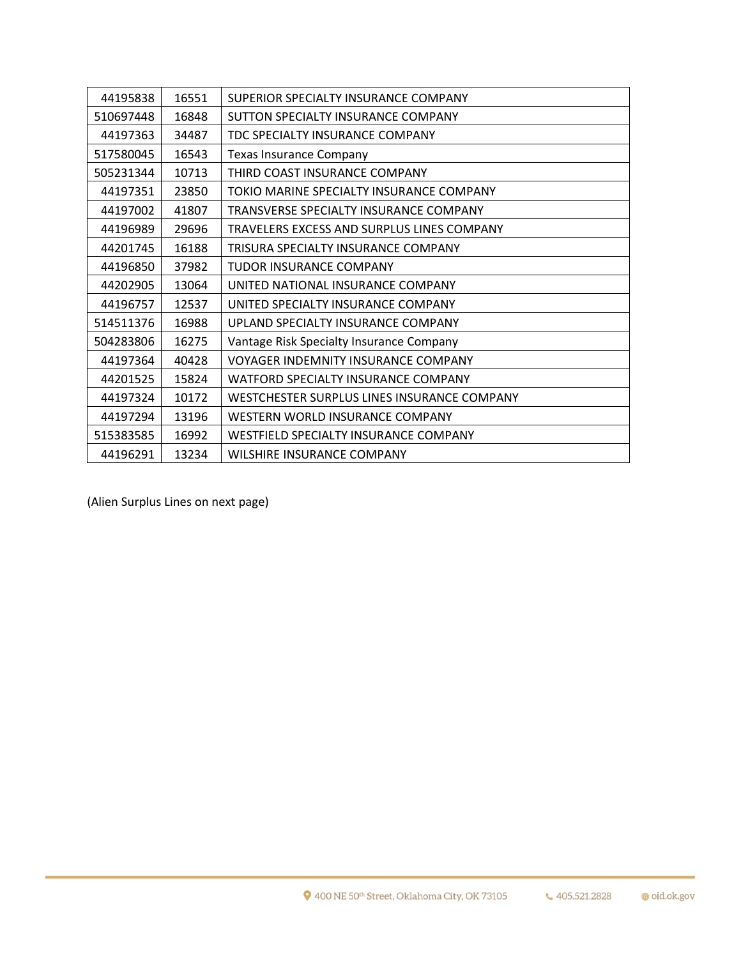| 44195838  | 16551 | SUPERIOR SPECIALTY INSURANCE COMPANY         |
|-----------|-------|----------------------------------------------|
| 510697448 | 16848 | SUTTON SPECIALTY INSURANCE COMPANY           |
| 44197363  | 34487 | TDC SPECIALTY INSURANCE COMPANY              |
| 517580045 | 16543 | <b>Texas Insurance Company</b>               |
| 505231344 | 10713 | THIRD COAST INSURANCE COMPANY                |
| 44197351  | 23850 | TOKIO MARINE SPECIALTY INSURANCE COMPANY     |
| 44197002  | 41807 | TRANSVERSE SPECIALTY INSURANCE COMPANY       |
| 44196989  | 29696 | TRAVELERS EXCESS AND SURPLUS LINES COMPANY   |
| 44201745  | 16188 | TRISURA SPECIALTY INSURANCE COMPANY          |
| 44196850  | 37982 | TUDOR INSURANCE COMPANY                      |
| 44202905  | 13064 | UNITED NATIONAL INSURANCE COMPANY            |
| 44196757  | 12537 | UNITED SPECIALTY INSURANCE COMPANY           |
| 514511376 | 16988 | UPLAND SPECIALTY INSURANCE COMPANY           |
| 504283806 | 16275 | Vantage Risk Specialty Insurance Company     |
| 44197364  | 40428 | <b>VOYAGER INDEMNITY INSURANCE COMPANY</b>   |
| 44201525  | 15824 | WATFORD SPECIALTY INSURANCE COMPANY          |
| 44197324  | 10172 | WESTCHESTER SURPLUS LINES INSURANCE COMPANY  |
| 44197294  | 13196 | WESTERN WORLD INSURANCE COMPANY              |
| 515383585 | 16992 | <b>WESTFIELD SPECIALTY INSURANCE COMPANY</b> |
| 44196291  | 13234 | WILSHIRE INSURANCE COMPANY                   |

(Alien Surplus Lines on next page)